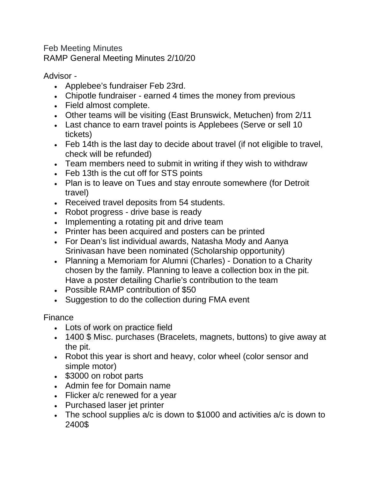Feb Meeting Minutes RAMP General Meeting Minutes 2/10/20

Advisor -

- Applebee's fundraiser Feb 23rd.
- Chipotle fundraiser earned 4 times the money from previous
- Field almost complete.
- Other teams will be visiting (East Brunswick, Metuchen) from 2/11
- Last chance to earn travel points is Applebees (Serve or sell 10 tickets)
- Feb 14th is the last day to decide about travel (if not eligible to travel, check will be refunded)
- Team members need to submit in writing if they wish to withdraw
- Feb 13th is the cut off for STS points
- Plan is to leave on Tues and stay enroute somewhere (for Detroit travel)
- Received travel deposits from 54 students.
- Robot progress drive base is ready
- Implementing a rotating pit and drive team
- Printer has been acquired and posters can be printed
- For Dean's list individual awards, Natasha Mody and Aanya Srinivasan have been nominated (Scholarship opportunity)
- Planning a Memoriam for Alumni (Charles) Donation to a Charity chosen by the family. Planning to leave a collection box in the pit. Have a poster detailing Charlie's contribution to the team
- Possible RAMP contribution of \$50
- Suggestion to do the collection during FMA event

## Finance

- Lots of work on practice field
- 1400 \$ Misc. purchases (Bracelets, magnets, buttons) to give away at the pit.
- Robot this year is short and heavy, color wheel (color sensor and simple motor)
- \$3000 on robot parts
- Admin fee for Domain name
- Flicker a/c renewed for a year
- Purchased laser jet printer
- The school supplies a/c is down to \$1000 and activities a/c is down to 2400\$